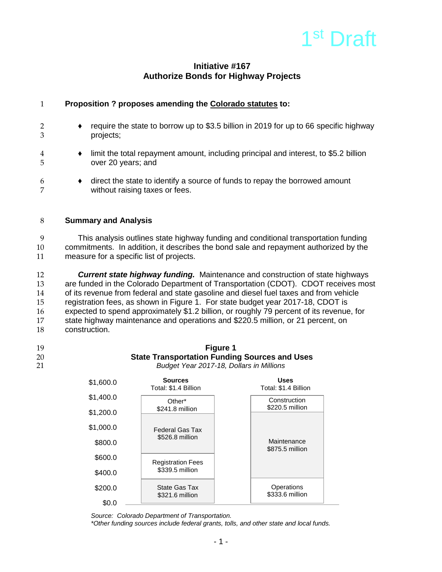# 1<sup>st</sup> Draft

## **Initiative #167 Authorize Bonds for Highway Projects**

| 1             | Proposition ? proposes amending the Colorado statutes to:                                                                                                                                                               |  |  |
|---------------|-------------------------------------------------------------------------------------------------------------------------------------------------------------------------------------------------------------------------|--|--|
| 3             | require the state to borrow up to \$3.5 billion in 2019 for up to 66 specific highway<br>projects;                                                                                                                      |  |  |
| 4<br>5        | limit the total repayment amount, including principal and interest, to \$5.2 billion<br>٠<br>over 20 years; and                                                                                                         |  |  |
| 6             | direct the state to identify a source of funds to repay the borrowed amount<br>٠<br>without raising taxes or fees.                                                                                                      |  |  |
| 8             | <b>Summary and Analysis</b>                                                                                                                                                                                             |  |  |
| 9<br>10<br>11 | This analysis outlines state highway funding and conditional transportation funding<br>commitments. In addition, it describes the bond sale and repayment authorized by the<br>measure for a specific list of projects. |  |  |

 *Current state highway funding.* Maintenance and construction of state highways are funded in the Colorado Department of Transportation (CDOT). CDOT receives most of its revenue from federal and state gasoline and diesel fuel taxes and from vehicle registration fees, as shown in Figure 1. For state budget year 2017-18, CDOT is expected to spend approximately \$1.2 billion, or roughly 79 percent of its revenue, for state highway maintenance and operations and \$220.5 million, or 21 percent, on construction.

| I<br>$\overline{\phantom{a}}$ |
|-------------------------------|
|                               |

19 **Figure 1 State Transportation Funding Sources and Uses** 21 *Budget Year 2017-18, Dollars in Millions* \$1,600.0 **Sources Uses**

| <b>JUUU.U</b> | Total: \$1.4 Billion             | Total: \$1.4 Billion           |
|---------------|----------------------------------|--------------------------------|
| \$1,400.0     | Other*                           | Construction                   |
| \$1,200.0     | \$241.8 million                  | \$220.5 million                |
| \$1,000.0     | <b>Federal Gas Tax</b>           |                                |
| \$800.0       | \$526.8 million                  | Maintenance<br>\$875.5 million |
| \$600.0       | <b>Registration Fees</b>         |                                |
| \$400.0       | \$339.5 million                  |                                |
| \$200.0       | State Gas Tax<br>\$321.6 million | Operations<br>\$333.6 million  |
| \$0.0         |                                  |                                |

*Source: Colorado Department of Transportation.*

*\*Other funding sources include federal grants, tolls, and other state and local funds.*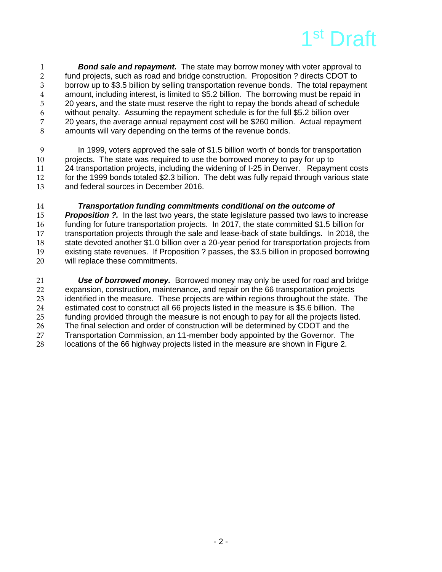

**Bond sale and repayment.** The state may borrow money with voter approval to fund projects, such as road and bridge construction. Proposition ? directs CDOT to 2 fund projects, such as road and bridge construction. Proposition ? directs CDOT to<br>3 borrow up to \$3.5 billion by selling transportation revenue bonds. The total repayme borrow up to \$3.5 billion by selling transportation revenue bonds. The total repayment 4 amount, including interest, is limited to \$5.2 billion. The borrowing must be repaid in<br>5 20 vears, and the state must reserve the right to repay the bonds ahead of schedule 20 years, and the state must reserve the right to repay the bonds ahead of schedule 6 without penalty. Assuming the repayment schedule is for the full \$5.2 billion over 7 20 years, the average annual repayment cost will be \$260 million. Actual repayment 8 amounts will vary depending on the terms of the revenue bonds.

9 In 1999, voters approved the sale of \$1.5 billion worth of bonds for transportation<br>10 projects. The state was required to use the borrowed money to pay for up to projects. The state was required to use the borrowed money to pay for up to 11 24 transportation projects, including the widening of I-25 in Denver. Repayment costs 12 for the 1999 bonds totaled \$2.3 billion. The debt was fully repaid through various state 13 and federal sources in December 2016.

**14** *Transportation funding commitments conditional on the outcome of* **<br>15 <b>***Proposition ?.* In the last two vears, the state legislature passed two laws to **Proposition ?.** In the last two years, the state legislature passed two laws to increase 16 funding for future transportation projects. In 2017, the state committed \$1.5 billion for<br>17 transportation projects through the sale and lease-back of state buildings. In 2018, the 17 transportation projects through the sale and lease-back of state buildings. In 2018, the<br>18 state devoted another \$1.0 billion over a 20-vear period for transportation projects from state devoted another \$1.0 billion over a 20-year period for transportation projects from 19 existing state revenues. If Proposition ? passes, the \$3.5 billion in proposed borrowing 20 will replace these commitments.

*Use of borrowed money.* Borrowed money may only be used for road and bridge<br>22 expansion. construction. maintenance. and repair on the 66 transportation projects expansion, construction, maintenance, and repair on the 66 transportation projects<br>23 identified in the measure. These projects are within regions throughout the state. identified in the measure. These projects are within regions throughout the state. The 24 estimated cost to construct all 66 projects listed in the measure is \$5.6 billion. The 25 funding provided through the measure is not enough to pay for all the projects listed. 26 The final selection and order of construction will be determined by CDOT and the<br>27 Transportation Commission, an 11-member body appointed by the Governor. The Transportation Commission, an 11-member body appointed by the Governor. The 28 locations of the 66 highway projects listed in the measure are shown in Figure 2.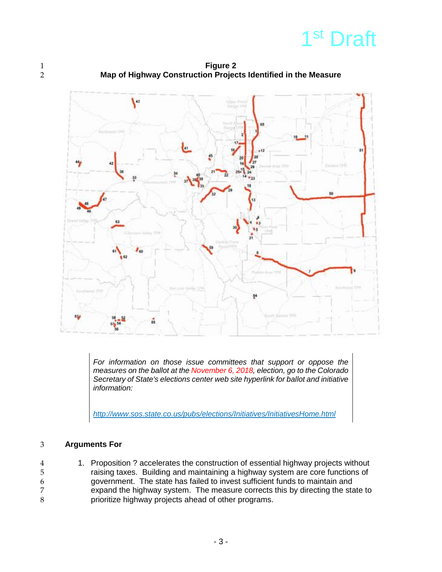

1 **Figure 2**<br>2 **Map of Highway Construction Project** 2 **Map of Highway Construction Projects Identified in the Measure**



*For information on those issue committees that support or oppose the measures on the ballot at the November 6, 2018, election, go to the Colorado Secretary of State's elections center web site hyperlink for ballot and initiative information:*

*<http://www.sos.state.co.us/pubs/elections/Initiatives/InitiativesHome.html>*

## 3 **Arguments For**

4 1. Proposition ? accelerates the construction of essential highway projects without 5 raising taxes. Building and maintaining a highway system are core functions of same approximent. The state has failed to invest sufficient funds to maintain and 6 government. The state has failed to invest sufficient funds to maintain and 7 expand the highway system. The measure corrects this by directing the state to<br>8 prioritize highway projects ahead of other programs. prioritize highway projects ahead of other programs.